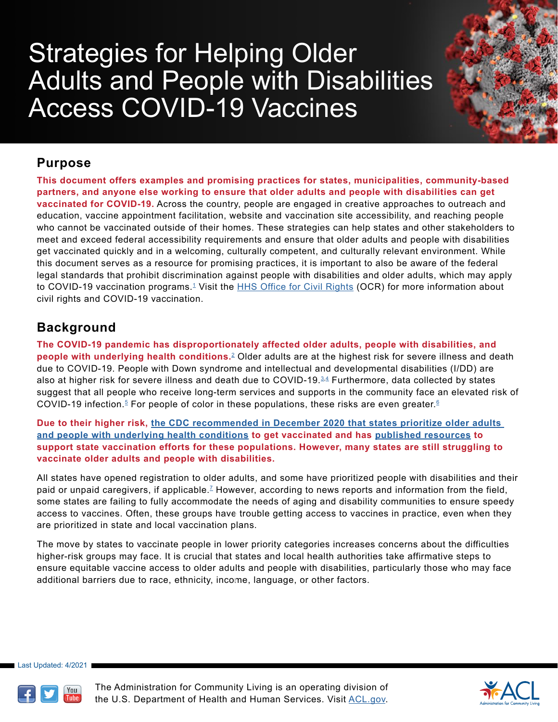# Strategies for Helping Older Adults and People with Disabilities Access COVID-19 Vaccines

## **Purpose**

**This document offers examples and promising practices for states, municipalities, community-based partners, and anyone else working to ensure that older adults and people with disabilities can get vaccinated for COVID-19.** Across the country, people are engaged in creative approaches to outreach and education, vaccine appointment facilitation, website and vaccination site accessibility, and reaching people who cannot be vaccinated outside of their homes. These strategies can help states and other stakeholders to meet and exceed federal accessibility requirements and ensure that older adults and people with disabilities get vaccinated quickly and in a welcoming, culturally competent, and culturally relevant environment. While this document serves as a resource for promising practices, it is important to also be aware of the federal legal standards that prohibit discrimination against people with disabilities and older adults, which may apply to COVID-[1](#page-7-0)9 vaccination programs.<sup>1</sup> Visit the **[HHS Office for Civil Rights](https://www.hhs.gov/ocr/index.html) (OCR)** for more information about civil rights and COVID-19 vaccination.

## **Background**

**The COVID-19 pandemic has disproportionately affected older adults, people with disabilities, and people with underlying health conditions.**[2](#page-7-1) Older adults are at the highest risk for severe illness and death due to COVID-19. People with Down syndrome and intellectual and developmental disabilities (I/DD) are also at higher risk for severe illness and death due to COVID-19. $3.4$  $3.4$  Furthermore, data collected by states suggest that all people who receive long-term services and supports in the community face an elevated risk of COVID-19 infection.<sup>5</sup> For people of color in these populations, these risks are even greater.<sup>[6](#page-7-5)</sup>

**Due to their higher risk, [the CDC recommended in December 2020 that states prioritize older adults](https://www.cdc.gov/vaccines/hcp/acip-recs/vacc-specific/covid-19.html)  [and people with underlying health conditions](https://www.cdc.gov/vaccines/hcp/acip-recs/vacc-specific/covid-19.html) to get vaccinated and has [published resources](https://www.cdc.gov/vaccines/covid-19/clinical-considerations/older-adults-and-disability/access.html) to support state vaccination efforts for these populations. However, many states are still struggling to vaccinate older adults and people with disabilities.**

All states have opened registration to older adults, and some have prioritized people with disabilities and their paid or unpaid caregivers, if applicable.<sup>7</sup> However, according to news reports and information from the field, some states are failing to fully accommodate the needs of aging and disability communities to ensure speedy access to vaccines. Often, these groups have trouble getting access to vaccines in practice, even when they are prioritized in state and local vaccination plans.

The move by states to vaccinate people in lower priority categories increases concerns about the difficulties higher-risk groups may face. It is crucial that states and local health authorities take affirmative steps to ensure equitable vaccine access to older adults and people with disabilities, particularly those who may face additional barriers due to race, ethnicity, income, language, or other factors.

Last Updated: 4/2021



The Administration for Community Living is an operating division of the U.S. Department of Health and Human Services. Visit [ACL.gov](http://ACL.gov).

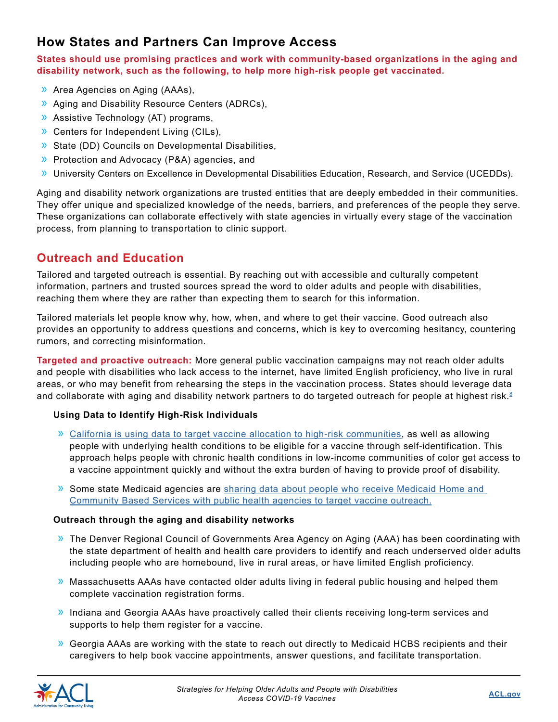## **How States and Partners Can Improve Access**

**States should use promising practices and work with community-based organizations in the aging and disability network, such as the following, to help more high-risk people get vaccinated.** 

- » Area Agencies on Aging (AAAs),
- » Aging and Disability Resource Centers (ADRCs),
- » Assistive Technology (AT) programs,
- » Centers for Independent Living (CILs),
- » State (DD) Councils on Developmental Disabilities,
- » Protection and Advocacy (P&A) agencies, and
- » University Centers on Excellence in Developmental Disabilities Education, Research, and Service (UCEDDs).

Aging and disability network organizations are trusted entities that are deeply embedded in their communities. They offer unique and specialized knowledge of the needs, barriers, and preferences of the people they serve. These organizations can collaborate effectively with state agencies in virtually every stage of the vaccination process, from planning to transportation to clinic support.

### **Outreach and Education**

Tailored and targeted outreach is essential. By reaching out with accessible and culturally competent information, partners and trusted sources spread the word to older adults and people with disabilities, reaching them where they are rather than expecting them to search for this information.

Tailored materials let people know why, how, when, and where to get their vaccine. Good outreach also provides an opportunity to address questions and concerns, which is key to overcoming hesitancy, countering rumors, and correcting misinformation.

**Targeted and proactive outreach:** More general public vaccination campaigns may not reach older adults and people with disabilities who lack access to the internet, have limited English proficiency, who live in rural areas, or who may benefit from rehearsing the steps in the vaccination process. States should leverage data and collaborate with aging and disability network partners to do targeted outreach for people at highest risk.<sup>[8](#page-7-7)</sup>

#### **Using Data to Identify High-Risk Individuals**

- » [California is using data to target vaccine allocation to high-risk communities,](https://www.gov.ca.gov/wp-content/uploads/2021/03/Equitable-Vaccine-Administration-Fact-Sheet.pdf) as well as allowing people with underlying health conditions to be eligible for a vaccine through self-identification. This approach helps people with chronic health conditions in low-income communities of color get access to a vaccine appointment quickly and without the extra burden of having to provide proof of disability.
- » Some state Medicaid agencies are [sharing data about people who receive Medicaid Home and](https://www.kff.org/coronavirus-covid-19/issue-brief/a-look-at-how-medicaid-agencies-are-assisting-with-the-covid-19-vaccine-roll-out/)  [Community Based Services with public health agencies to target vaccine outreach.](https://www.kff.org/coronavirus-covid-19/issue-brief/a-look-at-how-medicaid-agencies-are-assisting-with-the-covid-19-vaccine-roll-out/)

#### **Outreach through the aging and disability networks**

- » The Denver Regional Council of Governments Area Agency on Aging (AAA) has been coordinating with the state department of health and health care providers to identify and reach underserved older adults including people who are homebound, live in rural areas, or have limited English proficiency.
- » Massachusetts AAAs have contacted older adults living in federal public housing and [helped them](https://www.n4a.org/Files/AAA%20Roles%20in%20the%20Vaccination%20of%20Older%20Adults%202.9.21%20Final%20to%20Share.pdf)  [complete vaccination registration forms.](https://www.n4a.org/Files/AAA%20Roles%20in%20the%20Vaccination%20of%20Older%20Adults%202.9.21%20Final%20to%20Share.pdf)
- » Indiana and Georgia AAAs have proactively called their clients receiving long-term services and supports to help them register for a vaccine.
- $\lambda$  [Georgia AAAs are working with the state](https://dph.georgia.gov/press-releases/2021-02-18/dph-and-dhs-help-seniors-get-covid-vaccine) to reach out directly to Medicaid HCBS recipients and their caregivers to help book vaccine appointments, answer questions, and facilitate transportation.

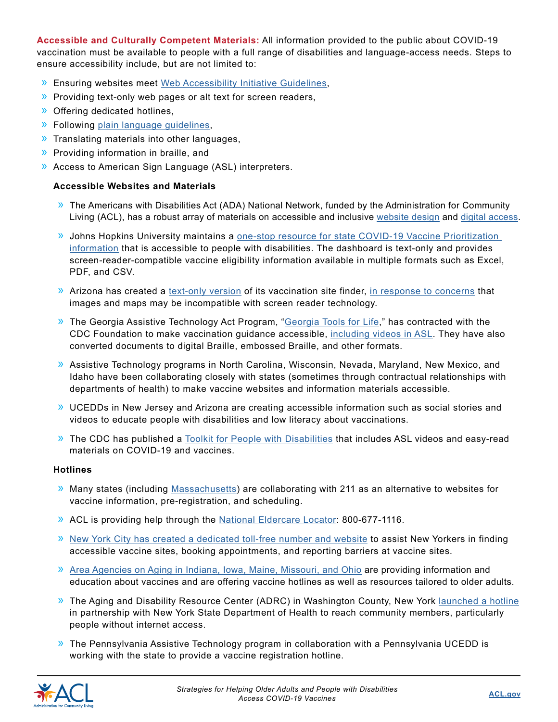**Accessible and Culturally Competent Materials:** All information provided to the public about COVID-19 vaccination must be available to people with a full range of disabilities and language-access needs. Steps to ensure accessibility include, but are not limited to:

- » Ensuring websites meet [Web Accessibility Initiative Guidelines,](http://www.w3.org/)
- » Providing text-only web pages or alt text for screen readers,
- » Offering dedicated hotlines,
- » Following [plain language guidelines](https://www.plainlanguage.gov/),
- » Translating materials into other languages,
- » Providing information in braille, and
- » Access to American Sign Language (ASL) interpreters.

#### **Accessible Websites and Materials**

- » The Americans with Disabilities Act (ADA) National Network, funded by the Administration for Community Living (ACL), has a robust array of materials on accessible and inclusive [website design](https://www.adaanniversary.org/accessibility#wcag) and [digital access.](https://adata.org/research_brief/digital-access-and-title-iii-ada)
- » Johns Hopkins University maintains a [one-stop resource for state COVID-19 Vaccine Prioritization](https://disabilityhealth.jhu.edu/vaccine-2/)  [information](https://disabilityhealth.jhu.edu/vaccine-2/) that is accessible to people with disabilities. The dashboard is text-only and provides screen-reader-compatible vaccine eligibility information available in multiple formats such as Excel, PDF, and CSV.
- » Arizona has created a [text-only version](https://www.azdhs.gov/preparedness/epidemiology-disease-control/infectious-disease-epidemiology/index.php#novel-coronavirus-find-vaccine) of its vaccination site finder, [in response to concerns](https://www.nbcnews.com/business/consumer/blind-americans-face-roadblocks-booking-online-vaccine-appointments-n1260954) that images and maps may be incompatible with screen reader technology.
- » The Georgia Assistive Technology Act Program, ["Georgia Tools for Life](https://gatfl.gatech.edu/index.php)," has contracted with the CDC Foundation to make vaccination guidance accessible, [including videos in ASL.](https://www.youtube.com/watch?v=gLb4mOIpZTg) They have also converted documents to digital Braille, embossed Braille, and other formats.
- » Assistive Technology programs in North Carolina, Wisconsin, Nevada, Maryland, New Mexico, and Idaho have been collaborating closely with states (sometimes through contractual relationships with departments of health) to make vaccine websites and information materials accessible.
- » UCEDDs in New Jersey and Arizona are creating accessible information such as social stories and videos to educate people with disabilities and low literacy about vaccinations.
- » The CDC has published a [Toolkit for People with Disabilities](https://www.cdc.gov/coronavirus/2019-ncov/communication/toolkits/people-with-disabilities.html) that includes ASL videos and easy-read materials on COVID-19 and vaccines.

#### **Hotlines**

- » Many states (including [Massachusetts\)](https://www.nbcboston.com/news/coronavirus/how-the-call-back-list-works-for-massachusetts-new-covid-vaccine-hotline/2295655/) are collaborating with 211 as an alternative to websites for vaccine information, pre-registration, and scheduling.
- » ACL is providing help through the [National Eldercare Locator](https://eldercare.acl.gov/Public/Index.aspx): 800-677-1116.
- » [New York City has created a dedicated toll-free number and website](https://www1.nyc.gov/site/mopd/resources/covid-19-vaccine-distribution-frequently-asked-questions.page) to assist New Yorkers in finding accessible vaccine sites, booking appointments, and reporting barriers at vaccine sites.
- » [Area Agencies on Aging in Indiana, Iowa, Maine, Missouri, and Ohio](https://www.n4a.org/Files/AAA%20Roles%20in%20the%20Vaccination%20of%20Older%20Adults%202.9.21%20Final%20to%20Share.pdf) are providing information and education about vaccines and are offering vaccine hotlines as well as resources tailored to older adults.
- » The Aging and Disability Resource Center (ADRC) in Washington County, New York [launched a hotline](https://washingtoncountyny.gov/1147/Coronavirus-Information) in partnership with New York State Department of Health to reach community members, particularly people without internet access.
- » The Pennsylvania Assistive Technology program in collaboration with a Pennsylvania UCEDD is working with the state to provide a vaccine registration hotline.

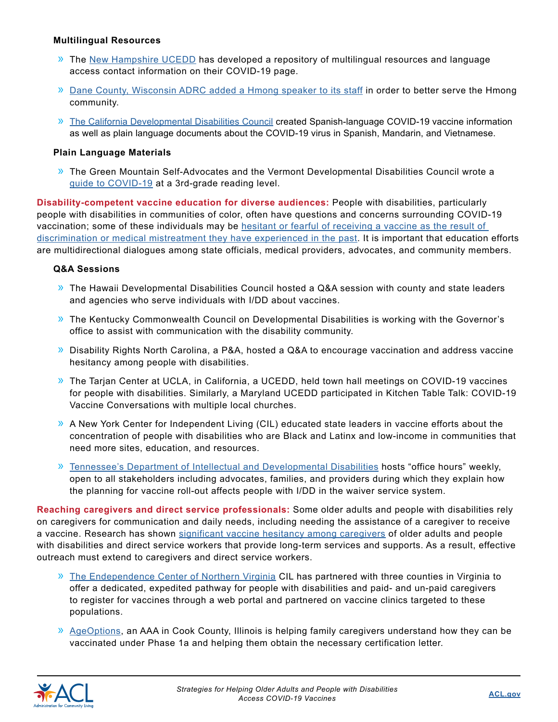#### **Multilingual Resources**

- » The [New Hampshire UCEDD](https://iod.unh.edu/covid-19) has developed a repository of multilingual resources and language access contact information on their COVID-19 page.
- » [Dane County, Wisconsin ADRC added a Hmong speaker to its staff](https://madison.com/ct/news/local/govt-and-politics/dane-county-moves-to-add-hmong-speaker-to-aging-and-disability-resource-center/article_91bb16e6-82b8-5bba-902c-77c29ed2d45d.html) in order to better serve the Hmong community.
- » [The California Developmental Disabilities Council](https://scdd.ca.gov/) created Spanish-language COVID-19 vaccine information as well as plain language documents about the COVID-19 virus in Spanish, Mandarin, and Vietnamese.

#### **Plain Language Materials**

» The Green Mountain Self-Advocates and the Vermont Developmental Disabilities Council wrote a [guide to COVID-19](https://gmsavt.org/3665-2/) at a 3rd-grade reading level.

**Disability-competent vaccine education for diverse audiences:** People with disabilities, particularly people with disabilities in communities of color, often have questions and concerns surrounding COVID-19 vaccination; [some of these individuals may be hesitant or fearful of receiving a vaccine as the result of](https://www.sciencedirect.com/science/article/pii/S1936657421000030)  [discrimination or medical mistreatment they have experienced in the past](https://www.sciencedirect.com/science/article/pii/S1936657421000030). It is important that education efforts are multidirectional dialogues among state officials, medical providers, advocates, and community members.

#### **Q&A Sessions**

- » The Hawaii Developmental Disabilities Council hosted a Q&A session with county and state leaders and agencies who serve individuals with I/DD about vaccines.
- » The Kentucky Commonwealth Council on Developmental Disabilities is working with the Governor's office to assist with communication with the disability community.
- » Disability Rights North Carolina, a P&A, hosted a Q&A to encourage vaccination and address vaccine hesitancy among people with disabilities.
- » The Tarjan Center at UCLA, in California, a UCEDD, held town hall meetings on COVID-19 vaccines for people with disabilities. Similarly, a Maryland UCEDD participated in Kitchen Table Talk: COVID-19 Vaccine Conversations with multiple local churches.
- » A New York Center for Independent Living (CIL) educated state leaders in vaccine efforts about the concentration of people with disabilities who are Black and Latinx and low-income in communities that need more sites, education, and resources.
- » [Tennessee's Department of Intellectual and Developmental Disabilities](https://covid19.tn.gov/covid-19-vaccines/) hosts "office hours" weekly, open to all stakeholders including advocates, families, and providers during which they explain how the planning for vaccine roll-out affects people with I/DD in the waiver service system.

**Reaching caregivers and direct service professionals:** Some older adults and people with disabilities rely on caregivers for communication and daily needs, including needing the assistance of a caregiver to receive a vaccine. Research has shown [significant vaccine hesitancy among caregivers](https://www.businesswire.com/news/home/20210308005126/en/SCAN-Survey-Vaccine-Refusal-Among-Rural-Family-Caregivers-Is-More-Than-Double-Urban-and-Suburban-Counterparts%20%20+%20https:/www.texastribune.org/2021/02/08/coronavirus-texas-home-health-vaccine/%20AND%20https:/www.kff.org/coronavirus-covid-19/report/kff-covid-19-vaccine-monitor-december-2020/) of older adults and people with disabilities and direct service workers that provide long-term services and supports. As a result, effective outreach must extend to caregivers and direct service workers.

- » [The Endependence Center of Northern Virginia](https://www.ecnv.org/) CIL has partnered with three counties in Virginia to offer a dedicated, expedited pathway for people with disabilities and paid- and un-paid caregivers to register for vaccines through a web portal and partnered on vaccine clinics targeted to these populations.
- » [AgeOptions,](http://ageoptions.org/gallery/covid-19-information-for-consumers/) an AAA in Cook County, Illinois is helping family caregivers understand how they can be vaccinated under Phase 1a and helping them obtain the necessary certification letter.

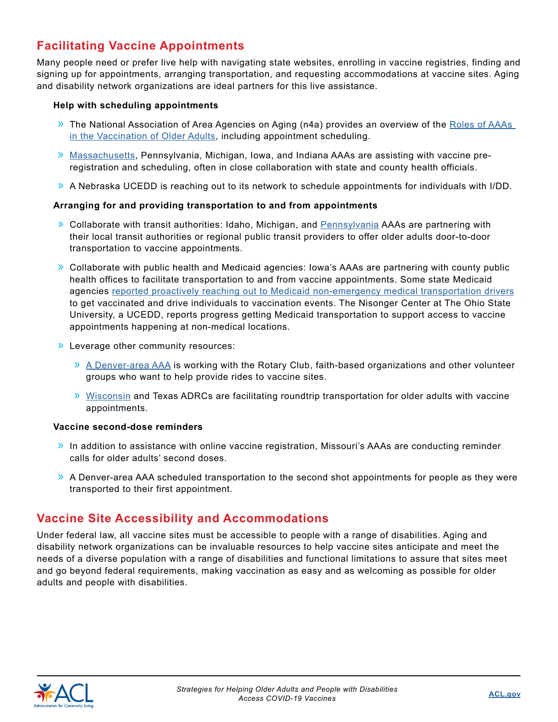## **Facilitating Vaccine Appointments**

Many people need or prefer live help with navigating state websites, enrolling in vaccine registries, finding and signing up for appointments, arranging transportation, and requesting accommodations at vaccine sites. Aging and disability network organizations are ideal partners for this live assistance.

#### **Help with scheduling appointments**

- » The National Association of Area Agencies on Aging (n4a) provides an overview of the [Roles of AAAs](https://www.n4a.org/Files/AAA%20Roles%20in%20the%20Vaccination%20of%20Older%20Adults%202.9.21%20Final%20to%20Share.pdf)  [in the Vaccination of Older Adults,](https://www.n4a.org/Files/AAA%20Roles%20in%20the%20Vaccination%20of%20Older%20Adults%202.9.21%20Final%20to%20Share.pdf) including appointment scheduling.
- » [Massachusetts](https://www.mass.gov/info-details/covid-19-vaccinations-for-people-ages-75-and-older), Pennsylvania, Michigan, Iowa, and Indiana AAAs are assisting with vaccine preregistration and scheduling, often in close collaboration with state and county health officials.
- » A Nebraska UCEDD is reaching out to its network to schedule appointments for individuals with I/DD.

#### **Arranging for and providing transportation to and from appointments**

- » Collaborate with transit authorities: Idaho, Michigan, and [Pennsylvania](https://www.masstransitmag.com/safety-security/news/21214047/pa-free-transportation-to-get-covid19-vaccines-is-being-offered-through-area-agencies-for-seniors) AAAs are partnering with their local transit authorities or regional public transit providers to offer older adults door-to-door transportation to vaccine appointments.
- » Collaborate with public health and Medicaid agencies: Iowa's AAAs are partnering with county public health offices to facilitate transportation to and from vaccine appointments. [Some state Medicaid](https://www.kff.org/coronavirus-covid-19/issue-brief/a-look-at-how-medicaid-agencies-are-assisting-with-the-covid-19-vaccine-roll-out/)  [agencies reported proactively reaching out to Medicaid non-emergency medical transportation drivers](https://www.kff.org/coronavirus-covid-19/issue-brief/a-look-at-how-medicaid-agencies-are-assisting-with-the-covid-19-vaccine-roll-out/) [to get vaccinated and drive individuals to vaccination events](https://www.kff.org/coronavirus-covid-19/issue-brief/a-look-at-how-medicaid-agencies-are-assisting-with-the-covid-19-vaccine-roll-out/). The Nisonger Center at The Ohio State University, a UCEDD, reports progress getting Medicaid transportation to support access to vaccine appointments happening at non-medical locations.
- » Leverage other community resources:
	- » [A Denver-area AAA](https://drcog.org/programs/area-agency-aging) is working with the Rotary Club, faith-based organizations and other volunteer groups who want to help provide rides to vaccine sites.
	- » [Wisconsin](https://adrcofbrowncounty.org/rides-for-covid-vaccinations/) and Texas ADRCs are facilitating roundtrip transportation for older adults with vaccine appointments.

#### **Vaccine second-dose reminders**

- » In addition to assistance with online vaccine registration, Missouri's AAAs are conducting reminder calls for older adults' second doses.
- » A Denver-area AAA scheduled transportation to the second shot appointments for people as they were transported to their first appointment.

## **Vaccine Site Accessibility and Accommodations**

Under federal law, all vaccine sites must be accessible to people with a range of disabilities. Aging and disability network organizations can be invaluable resources to help vaccine sites anticipate and meet the needs of a diverse population with a range of disabilities and functional limitations to assure that sites meet and go beyond federal requirements, making vaccination as easy and as welcoming as possible for older adults and people with disabilities.

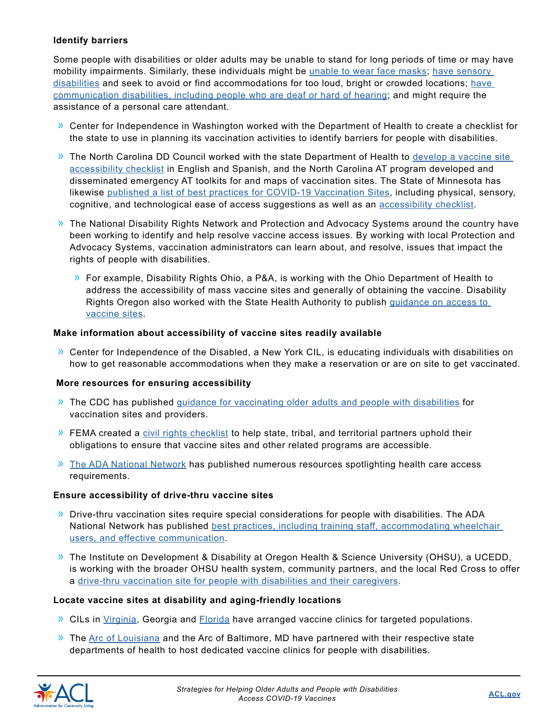#### **Identify barriers**

Some people with disabilities or older adults may be unable to stand for long periods of time or may have mobility impairments. Similarly, these individuals might be [unable to wear face masks;](https://www.accessibilityonline.org/ada-audio/archives/110851) have sensory [disabilities](https://rockymountainada.org/news/blog/5-tips-managing-sensory-needs-healthcare-settings) and seek to avoid or find accommodations for too loud, bright or crowded locations; [have](https://nwadacenter.org/factsheet/effective-communication-healthcare)  [communication disabilities, including people who are deaf or hard of hearing](https://nwadacenter.org/factsheet/effective-communication-healthcare); and might require the assistance of a personal care attendant.

- » Center for Independence in Washington worked with the Department of Health to create a checklist for the state to use in planning its vaccination activities to identify barriers for people with disabilities.
- » The North Carolina DD Council worked with the state Department of Health to [develop a vaccine site](https://covid19.ncdhhs.gov/media/2259/download)  [accessibility checklist](https://covid19.ncdhhs.gov/media/2259/download) in English and Spanish, and the North Carolina AT program developed and disseminated emergency AT toolkits for and maps of vaccination sites. The State of Minnesota has likewise [published a list of best practices for COVID-19 Vaccination Sites,](https://www.health.state.mn.us/communities/equity/about/c19testing.html) including physical, sensory, cognitive, and technological ease of access suggestions as well as an [accessibility checklist](https://www.health.state.mn.us/communities/equity/about/Checklist_Accessibility.pdf).
- » The National Disability Rights Network and Protection and Advocacy Systems around the country have been working to identify and help resolve vaccine access issues. By working with local Protection and Advocacy Systems, vaccination administrators can learn about, and resolve, issues that impact the rights of people with disabilities.
	- » For example, Disability Rights Ohio, a P&A, is working with the Ohio Department of Health to address the accessibility of mass vaccine sites and generally of obtaining the vaccine. Disability Rights Oregon also worked with the State Health Authority to publish [guidance on access to](https://sharedsystems.dhsoha.state.or.us/DHSForms/Served/le3658.pdf)  [vaccine sites.](https://sharedsystems.dhsoha.state.or.us/DHSForms/Served/le3658.pdf)

#### **Make information about accessibility of vaccine sites readily available**

» Center for Independence of the Disabled, a New York CIL, is educating individuals with disabilities on how to get reasonable accommodations when they make a reservation or are on site to get vaccinated.

#### **More resources for ensuring accessibility**

- » The CDC has published [guidance for vaccinating older adults and people with disabilities](https://www.cdc.gov/vaccines/covid-19/clinical-considerations/older-adults-and-disability.html) for vaccination sites and providers.
- $\lambda$  FEMA created a [civil rights checklist](https://www.fema.gov/sites/default/files/documents/fema_civil-rights-covid-19_vaccine_checklist_02-11-2021.pdf) to help state, tribal, and territorial partners uphold their obligations to ensure that vaccine sites and other related programs are accessible.
- » [The ADA National Network](https://www.accessibilityonline.org/ADA-Audio/archives/110916) has published numerous resources spotlighting health care access requirements.

#### **Ensure accessibility of drive-thru vaccine sites**

- » Drive-thru vaccination sites require special considerations for people with disabilities. [The ADA](https://adata.org/factsheet/accessibility-drive-thru-medical-sites)  National Network has published best practices, including training staff, accommodating wheelchair [users, and effective communication.](https://adata.org/factsheet/accessibility-drive-thru-medical-sites)
- » The Institute on Development & Disability at Oregon Health & Science University (OHSU), a UCEDD, is working with the broader OHSU health system, community partners, and the local Red Cross to offer a [drive-thru vaccination site for people with disabilities and their caregivers](https://www.aucd.org/template/news.cfm?news_id=15260&parent=505&parent_title=Archived%20News&url=/template/page.cfm?id%3D505).

#### **Locate vaccine sites at disability and aging-friendly locations**

- » CILs in [Virginia,](http://www.facebook.com/ECNVCIL) Georgia and [Florida](https://mailchi.mp/theilrc.org/covid-19-vaccine-registration) have arranged vaccine clinics for targeted populations.
- $\lambda$  The [Arc of Louisiana](https://www.fox8live.com/2021/03/11/la-works-address-hindrances-vaccinations-among-disabled/) and the Arc of Baltimore, MD have partnered with their respective state departments of health to host dedicated vaccine clinics for people with disabilities.

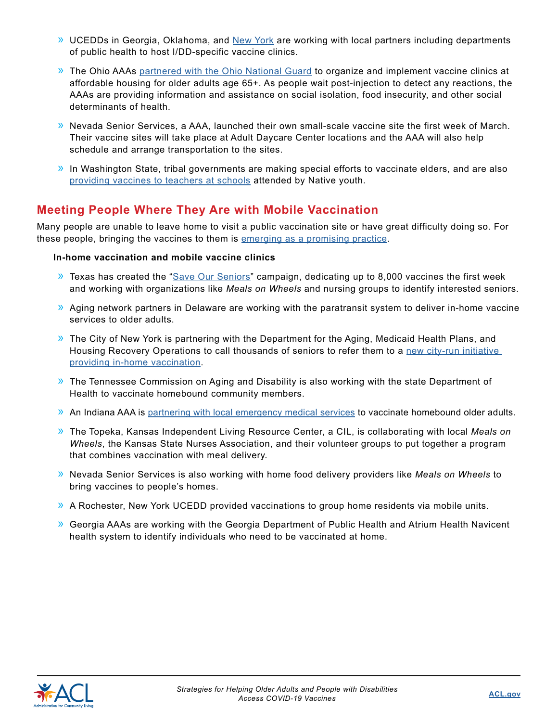- » UCEDDs in Georgia, Oklahoma, and [New York](https://www.aucd.org/ecp/template/news.cfm?news_id=15296&parent=0&parent_title=COVID-19&url=/ecp/template/news_mgt.cfm?type%3D406%26topic%3D244) are working with local partners including departments of public health to host I/DD-specific vaccine clinics.
- » The Ohio AAAs [partnered with the Ohio National Guard](https://www.ong.ohio.gov/stories/covid19/20210211-vaccine-assistance.html) to organize and implement vaccine clinics at affordable housing for older adults age 65+. As people wait post-injection to detect any reactions, the AAAs are providing information and assistance on social isolation, food insecurity, and other social determinants of health.
- » Nevada Senior Services, a AAA, launched their own small-scale vaccine site the first week of March. Their vaccine sites will take place at Adult Daycare Center locations and the AAA will also help schedule and arrange transportation to the sites.
- $\lambda$  In Washington State, tribal governments are making special efforts to vaccinate elders, and are also [providing vaccines to teachers at schools](https://www.seattletimes.com/education-lab/tribal-governments-in-washington-help-speed-teacher-vaccination-effort/) attended by Native youth.

## **Meeting People Where They Are with Mobile Vaccination**

Many people are unable to leave home to visit a public vaccination site or have great difficulty doing so. For these people, bringing the vaccines to them is [emerging as a promising practice](https://www.cdc.gov/vaccines/covid-19/clinical-considerations/homebound-persons.html).

#### **In-home vaccination and mobile vaccine clinics**

- $\overline{a}$  Texas has created the "[Save Our Seniors"](https://gov.texas.gov/news/post/governor-abbott-announces-save-our-seniors-initiative-to-vaccinate-homebound-seniors-in-texas) campaign, dedicating up to 8,000 vaccines the first week and working with organizations like *Meals on Wheels* and nursing groups to identify interested seniors.
- » Aging network partners in Delaware are working with the paratransit system to deliver in-home vaccine services to older adults.
- $\lambda$  The City of New York is partnering with the Department for the Aging, Medicaid Health Plans, and Housing Recovery Operations to call thousands of seniors to refer them to a new city-run initiative [providing in-home vaccination](https://www1.nyc.gov/office-of-the-mayor/news/155-21/vaccine-all-city-begins-vaccination-homebound-new-yorkers).
- » The Tennessee Commission on Aging and Disability is also working with the state Department of Health to vaccinate homebound community members.
- » An Indiana AAA is [partnering with local emergency medical services to vaccinate homebound older adults](https://thrivewestcentral.com/wp-content/uploads/2021/02/Thrive-Vaccine-Outreach-Information.pdf).
- » The Topeka, Kansas Independent Living Resource Center, a CIL, is collaborating with local *Meals on Wheels*, the Kansas State Nurses Association, and their volunteer groups to put together a program that combines vaccination with meal delivery.
- » Nevada Senior Services is also working with home food delivery providers like *Meals on Wheels* to bring vaccines to people's homes.
- » A Rochester, New York UCEDD provided vaccinations to group home residents via mobile units.
- » Georgia AAAs are working with the Georgia Department of Public Health and Atrium Health Navicent health system to identify individuals who need to be vaccinated at home.